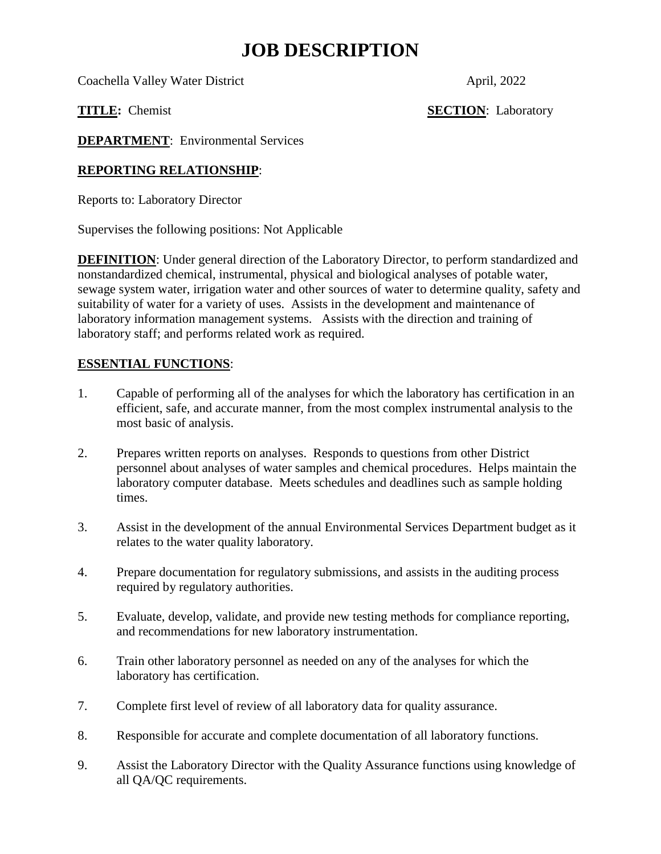## **JOB DESCRIPTION**

Coachella Valley Water District April, 2022

**TITLE:** Chemist **SECTION**: Laboratory

**DEPARTMENT:** Environmental Services

### **REPORTING RELATIONSHIP**:

Reports to: Laboratory Director

Supervises the following positions: Not Applicable

**DEFINITION**: Under general direction of the Laboratory Director, to perform standardized and nonstandardized chemical, instrumental, physical and biological analyses of potable water, sewage system water, irrigation water and other sources of water to determine quality, safety and suitability of water for a variety of uses. Assists in the development and maintenance of laboratory information management systems. Assists with the direction and training of laboratory staff; and performs related work as required.

## **ESSENTIAL FUNCTIONS**:

- 1. Capable of performing all of the analyses for which the laboratory has certification in an efficient, safe, and accurate manner, from the most complex instrumental analysis to the most basic of analysis.
- 2. Prepares written reports on analyses. Responds to questions from other District personnel about analyses of water samples and chemical procedures. Helps maintain the laboratory computer database. Meets schedules and deadlines such as sample holding times.
- 3. Assist in the development of the annual Environmental Services Department budget as it relates to the water quality laboratory.
- 4. Prepare documentation for regulatory submissions, and assists in the auditing process required by regulatory authorities.
- 5. Evaluate, develop, validate, and provide new testing methods for compliance reporting, and recommendations for new laboratory instrumentation.
- 6. Train other laboratory personnel as needed on any of the analyses for which the laboratory has certification.
- 7. Complete first level of review of all laboratory data for quality assurance.
- 8. Responsible for accurate and complete documentation of all laboratory functions.
- 9. Assist the Laboratory Director with the Quality Assurance functions using knowledge of all QA/QC requirements.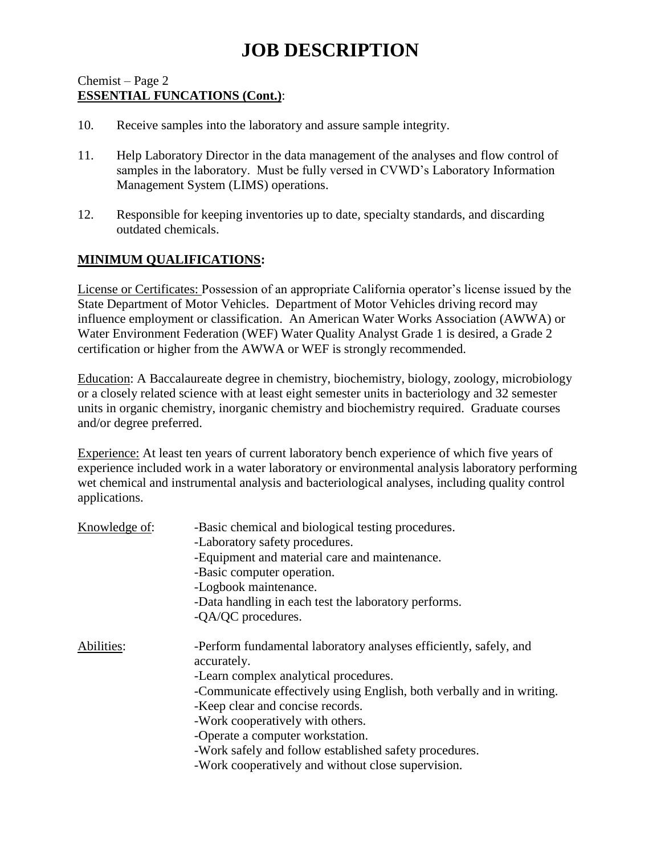# **JOB DESCRIPTION**

#### Chemist – Page 2 **ESSENTIAL FUNCATIONS (Cont.)**:

- 10. Receive samples into the laboratory and assure sample integrity.
- 11. Help Laboratory Director in the data management of the analyses and flow control of samples in the laboratory. Must be fully versed in CVWD's Laboratory Information Management System (LIMS) operations.
- 12. Responsible for keeping inventories up to date, specialty standards, and discarding outdated chemicals.

### **MINIMUM QUALIFICATIONS:**

License or Certificates: Possession of an appropriate California operator's license issued by the State Department of Motor Vehicles. Department of Motor Vehicles driving record may influence employment or classification. An American Water Works Association (AWWA) or Water Environment Federation (WEF) Water Quality Analyst Grade 1 is desired, a Grade 2 certification or higher from the AWWA or WEF is strongly recommended.

Education: A Baccalaureate degree in chemistry, biochemistry, biology, zoology, microbiology or a closely related science with at least eight semester units in bacteriology and 32 semester units in organic chemistry, inorganic chemistry and biochemistry required. Graduate courses and/or degree preferred.

Experience: At least ten years of current laboratory bench experience of which five years of experience included work in a water laboratory or environmental analysis laboratory performing wet chemical and instrumental analysis and bacteriological analyses, including quality control applications.

| Knowledge of: | -Basic chemical and biological testing procedures.                               |
|---------------|----------------------------------------------------------------------------------|
|               | -Laboratory safety procedures.                                                   |
|               | -Equipment and material care and maintenance.                                    |
|               | -Basic computer operation.                                                       |
|               | -Logbook maintenance.                                                            |
|               | -Data handling in each test the laboratory performs.                             |
|               | -QA/QC procedures.                                                               |
| Abilities:    | -Perform fundamental laboratory analyses efficiently, safely, and<br>accurately. |
|               | -Learn complex analytical procedures.                                            |
|               | -Communicate effectively using English, both verbally and in writing.            |
|               | -Keep clear and concise records.                                                 |
|               | -Work cooperatively with others.                                                 |
|               | -Operate a computer workstation.                                                 |
|               | -Work safely and follow established safety procedures.                           |
|               | -Work cooperatively and without close supervision.                               |